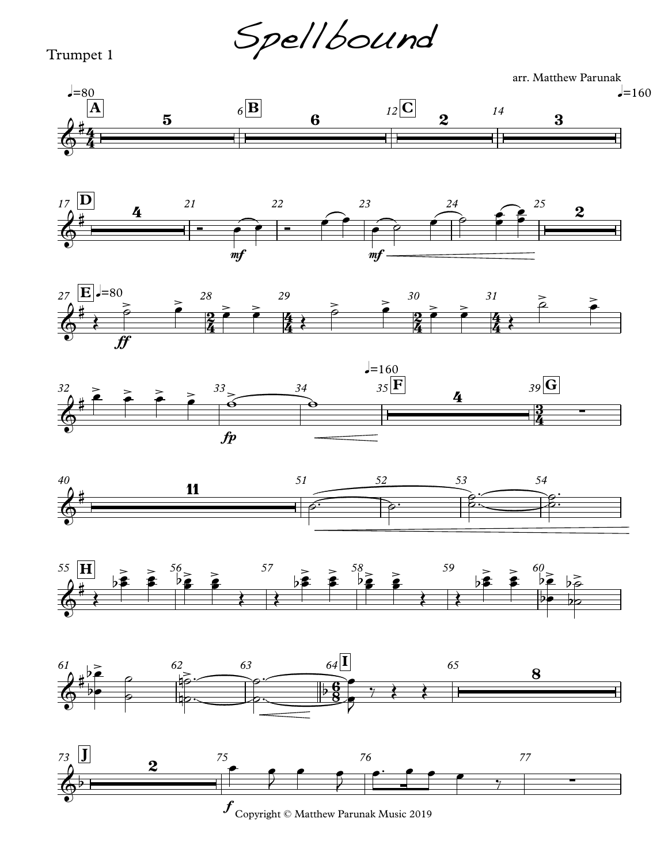Spellbound

## Trumpet 1

arr. Matthew Parunak